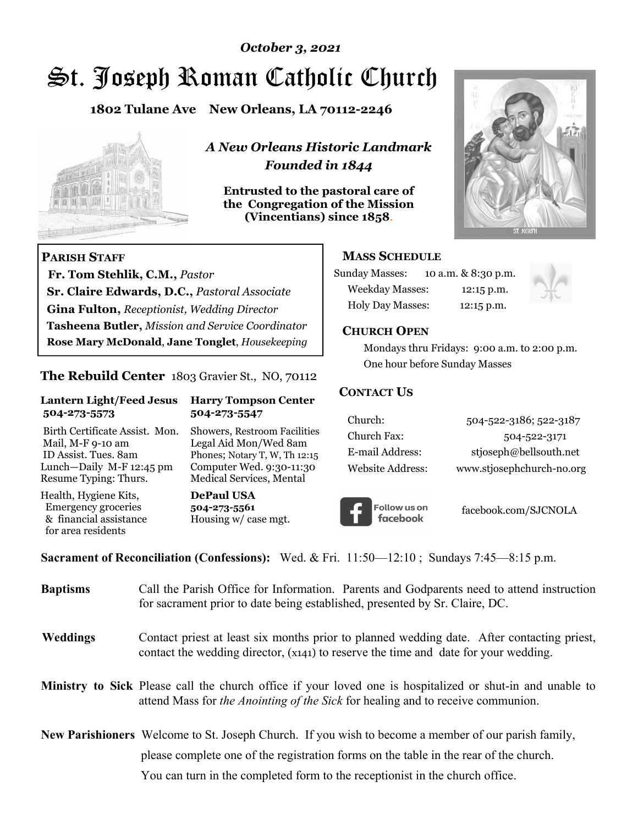# St. Joseph Roman Catholic Church *October 3, 2021*

**1802 Tulane Ave New Orleans, LA 70112-2246**



 **Fr. Tom Stehlik, C.M.,** *Pastor* 

**Sr. Claire Edwards, D.C.,** *Pastoral Associate* **Gina Fulton,** *Receptionist, Wedding Director* 

**Tasheena Butler,** *Mission and Service Coordinator* **Rose Mary McDonald**, **Jane Tonglet**, *Housekeeping*

**The Rebuild Center** 1803 Gravier St., NO, 70112

**Lantern Light/Feed Jesus Harry Tompson Center** 

Birth Certificate Assist. Mon. Showers, Restroom Facilities Mail, M-F 9-10 am Legal Aid Mon/Wed 8am ID Assist. Tues. 8am Phones; Notary T, W, Th 12:15 Lunch—Daily M-F 12:45 pm Computer Wed. 9:30-11:30 Resume Typing: Thurs. Medical Services, Mental

 **504-273-5573 504-273-5547** 

Health, Hygiene Kits, **DePaul USA**  Emergency groceries **504-273-5561**

& financial assistance Housing w/ case mgt.

**PARISH STAFF**

for area residents

*A New Orleans Historic Landmark Founded in 1844* 

**Entrusted to the pastoral care of the Congregation of the Mission (Vincentians) since 1858**.



### **MASS SCHEDULE**

| <b>Sunday Masses:</b>  | 10 a.m. & 8:30 p.m. |
|------------------------|---------------------|
| <b>Weekday Masses:</b> | $12:15$ p.m.        |
| Holy Day Masses:       | 12:15 p.m.          |



### **CHURCH OPEN**

 Mondays thru Fridays: 9:00 a.m. to 2:00 p.m. One hour before Sunday Masses

### **CONTACT US**

| Church:          | 504-522-3186; 522-3187    |
|------------------|---------------------------|
| Church Fax:      | 504-522-3171              |
| E-mail Address:  | stjoseph@bellsouth.net    |
| Website Address: | www.stjosephchurch-no.org |



facebook.com/SJCNOLA

**Sacrament of Reconciliation (Confessions):** Wed. & Fri. 11:50—12:10 ; Sundays 7:45—8:15 p.m.

| <b>Baptisms</b> | Call the Parish Office for Information. Parents and Godparents need to attend instruction<br>for sacrament prior to date being established, presented by Sr. Claire, DC.                            |
|-----------------|-----------------------------------------------------------------------------------------------------------------------------------------------------------------------------------------------------|
| Weddings        | Contact priest at least six months prior to planned wedding date. After contacting priest,<br>contact the wedding director, (x141) to reserve the time and date for your wedding.                   |
|                 | <b>Ministry to Sick</b> Please call the church office if your loved one is hospitalized or shut-in and unable to<br>attend Mass for the Anointing of the Sick for healing and to receive communion. |
|                 | <b>New Parishioners</b> Welcome to St. Joseph Church. If you wish to become a member of our parish family,                                                                                          |
|                 | please complete one of the registration forms on the table in the rear of the church.                                                                                                               |
|                 | You can turn in the completed form to the receptionist in the church office.                                                                                                                        |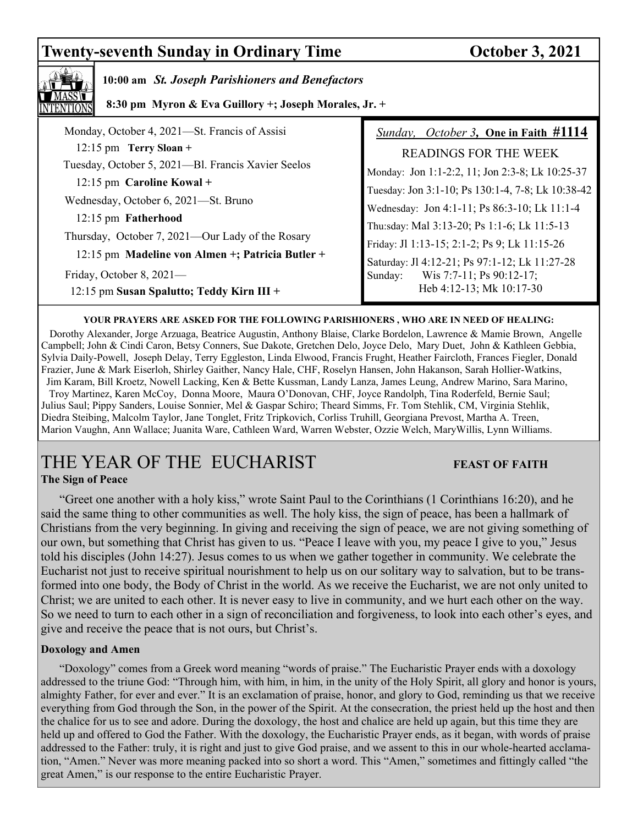# **Twenty-seventh Sunday in Ordinary Time October 3, 2021**



### **10:00 am** *St. Joseph Parishioners and Benefactors*

 **8:30 pm Myron & Eva Guillory +; Joseph Morales, Jr. +**

| Monday, October 4, 2021-St. Francis of Assisi                     | Sunday, October 3, One in Faith #1114                                                       |
|-------------------------------------------------------------------|---------------------------------------------------------------------------------------------|
| $12:15$ pm Terry Sloan +                                          | <b>READINGS FOR THE WEEK</b>                                                                |
| Tuesday, October 5, 2021-Bl. Francis Xavier Seelos                | Monday: Jon 1:1-2:2, 11; Jon 2:3-8; Lk 10:25-37                                             |
| 12:15 pm Caroline Kowal +<br>Wednesday, October 6, 2021—St. Bruno | Tuesday: Jon 3:1-10; Ps 130:1-4, 7-8; Lk 10:38-42                                           |
| 12:15 pm Fatherhood                                               | Wednesday: Jon 4:1-11; Ps 86:3-10; Lk 11:1-4                                                |
| Thursday, October 7, 2021—Our Lady of the Rosary                  | Thu:sday: Mal 3:13-20; Ps 1:1-6; Lk 11:5-13<br>Friday: Jl 1:13-15; 2:1-2; Ps 9; Lk 11:15-26 |
| 12:15 pm Madeline von Almen +; Patricia Butler +                  | Saturday: Jl 4:12-21; Ps 97:1-12; Lk 11:27-28                                               |
| Friday, October 8, 2021-                                          | Wis 7:7-11; Ps 90:12-17;<br>Sunday:                                                         |
| 12:15 pm Susan Spalutto; Teddy Kirn III +                         | Heb 4:12-13; Mk 10:17-30                                                                    |

### **YOUR PRAYERS ARE ASKED FOR THE FOLLOWING PARISHIONERS , WHO ARE IN NEED OF HEALING:**

 Dorothy Alexander, Jorge Arzuaga, Beatrice Augustin, Anthony Blaise, Clarke Bordelon, Lawrence & Mamie Brown, Angelle Campbell; John & Cindi Caron, Betsy Conners, Sue Dakote, Gretchen Delo, Joyce Delo, Mary Duet, John & Kathleen Gebbia, Sylvia Daily-Powell, Joseph Delay, Terry Eggleston, Linda Elwood, Francis Frught, Heather Faircloth, Frances Fiegler, Donald Frazier, June & Mark Eiserloh, Shirley Gaither, Nancy Hale, CHF, Roselyn Hansen, John Hakanson, Sarah Hollier-Watkins, Jim Karam, Bill Kroetz, Nowell Lacking, Ken & Bette Kussman, Landy Lanza, James Leung, Andrew Marino, Sara Marino, Troy Martinez, Karen McCoy, Donna Moore, Maura O'Donovan, CHF, Joyce Randolph, Tina Roderfeld, Bernie Saul; Julius Saul; Pippy Sanders, Louise Sonnier, Mel & Gaspar Schiro; Theard Simms, Fr. Tom Stehlik, CM, Virginia Stehlik, Diedra Steibing, Malcolm Taylor, Jane Tonglet, Fritz Tripkovich, Corliss Truhill, Georgiana Prevost, Martha A. Treen, Marion Vaughn, Ann Wallace; Juanita Ware, Cathleen Ward, Warren Webster, Ozzie Welch, MaryWillis, Lynn Williams.

## THE YEAR OF THE EUCHARIST **FEAST OF FAITH The Sign of Peace**

 "Greet one another with a holy kiss," wrote Saint Paul to the Corinthians (1 Corinthians 16:20), and he said the same thing to other communities as well. The holy kiss, the sign of peace, has been a hallmark of Christians from the very beginning. In giving and receiving the sign of peace, we are not giving something of our own, but something that Christ has given to us. "Peace I leave with you, my peace I give to you," Jesus told his disciples (John 14:27). Jesus comes to us when we gather together in community. We celebrate the Eucharist not just to receive spiritual nourishment to help us on our solitary way to salvation, but to be transformed into one body, the Body of Christ in the world. As we receive the Eucharist, we are not only united to Christ; we are united to each other. It is never easy to live in community, and we hurt each other on the way. So we need to turn to each other in a sign of reconciliation and forgiveness, to look into each other's eyes, and give and receive the peace that is not ours, but Christ's.

### **Doxology and Amen**

 "Doxology" comes from a Greek word meaning "words of praise." The Eucharistic Prayer ends with a doxology addressed to the triune God: "Through him, with him, in him, in the unity of the Holy Spirit, all glory and honor is yours, almighty Father, for ever and ever." It is an exclamation of praise, honor, and glory to God, reminding us that we receive everything from God through the Son, in the power of the Spirit. At the consecration, the priest held up the host and then the chalice for us to see and adore. During the doxology, the host and chalice are held up again, but this time they are held up and offered to God the Father. With the doxology, the Eucharistic Prayer ends, as it began, with words of praise addressed to the Father: truly, it is right and just to give God praise, and we assent to this in our whole-hearted acclamation, "Amen." Never was more meaning packed into so short a word. This "Amen," sometimes and fittingly called "the great Amen," is our response to the entire Eucharistic Prayer.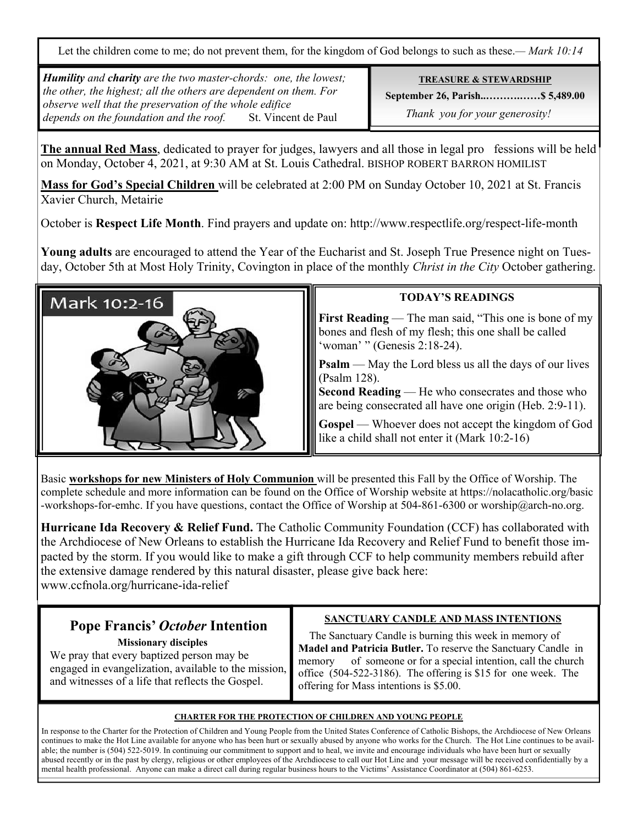Let the children come to me; do not prevent them, for the kingdom of God belongs to such as these.*— Mark 10:14*

*Humility and charity are the two master-chords: one, the lowest; the other, the highest; all the others are dependent on them. For observe well that the preservation of the whole edifice depends on the foundation and the roof.* St. Vincent de Paul

**TREASURE & STEWARDSHIP**

**September 26, Parish..……….……\$ 5,489.00** 

 *Thank you for your generosity!* 

**The annual Red Mass**, dedicated to prayer for judges, lawyers and all those in legal pro fessions will be held on Monday, October 4, 2021, at 9:30 AM at St. Louis Cathedral. BISHOP ROBERT BARRON HOMILIST

**Mass for God's Special Children** will be celebrated at 2:00 PM on Sunday October 10, 2021 at St. Francis Xavier Church, Metairie

October is **Respect Life Month**. Find prayers and update on: http://www.respectlife.org/respect-life-month

**Young adults** are encouraged to attend the Year of the Eucharist and St. Joseph True Presence night on Tuesday, October 5th at Most Holy Trinity, Covington in place of the monthly *Christ in the City* October gathering.



### **TODAY'S READINGS**

**First Reading** — The man said, "This one is bone of my bones and flesh of my flesh; this one shall be called 'woman' " (Genesis 2:18-24).

**Psalm** — May the Lord bless us all the days of our lives (Psalm 128).

**Second Reading** — He who consecrates and those who are being consecrated all have one origin (Heb. 2:9-11).

**Gospel** — Whoever does not accept the kingdom of God like a child shall not enter it (Mark 10:2-16)

Basic **workshops for new Ministers of Holy Communion** will be presented this Fall by the Office of Worship. The complete schedule and more information can be found on the Office of Worship website at https://nolacatholic.org/basic -workshops-for-emhc. If you have questions, contact the Office of Worship at 504-861-6300 or worship@arch-no.org.

**Hurricane Ida Recovery & Relief Fund.** The Catholic Community Foundation (CCF) has collaborated with the Archdiocese of New Orleans to establish the Hurricane Ida Recovery and Relief Fund to benefit those impacted by the storm. If you would like to make a gift through CCF to help community members rebuild after the extensive damage rendered by this natural disaster, please give back here: www.ccfnola.org/hurricane-ida-relief

# **Pope Francis'** *October* **Intention**

 **Missionary disciples**

We pray that every baptized person may be engaged in evangelization, available to the mission, and witnesses of a life that reflects the Gospel.

### **SANCTUARY CANDLE AND MASS INTENTIONS**

 The Sanctuary Candle is burning this week in memory of **Madel and Patricia Butler.** To reserve the Sanctuary Candle in memory of someone or for a special intention, call the church office (504-522-3186). The offering is \$15 for one week. The offering for Mass intentions is \$5.00.

### **CHARTER FOR THE PROTECTION OF CHILDREN AND YOUNG PEOPLE**

In response to the Charter for the Protection of Children and Young People from the United States Conference of Catholic Bishops, the Archdiocese of New Orleans continues to make the Hot Line available for anyone who has been hurt or sexually abused by anyone who works for the Church. The Hot Line continues to be available; the number is (504) 522-5019. In continuing our commitment to support and to heal, we invite and encourage individuals who have been hurt or sexually abused recently or in the past by clergy, religious or other employees of the Archdiocese to call our Hot Line and your message will be received confidentially by a mental health professional. Anyone can make a direct call during regular business hours to the Victims' Assistance Coordinator at (504) 861-6253.